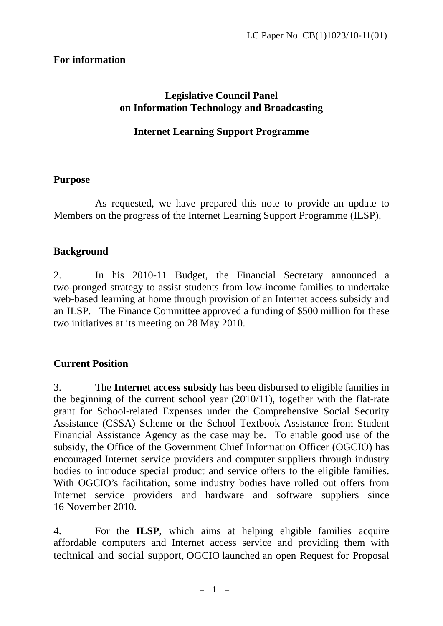# **For information**

#### **Legislative Council Panel on Information Technology and Broadcasting**

### **Internet Learning Support Programme**

#### **Purpose**

 As requested, we have prepared this note to provide an update to Members on the progress of the Internet Learning Support Programme (ILSP).

#### **Background**

2. In his 2010-11 Budget, the Financial Secretary announced a two-pronged strategy to assist students from low-income families to undertake web-based learning at home through provision of an Internet access subsidy and an ILSP. The Finance Committee approved a funding of \$500 million for these two initiatives at its meeting on 28 May 2010.

# **Current Position**

3. The **Internet access subsidy** has been disbursed to eligible families in the beginning of the current school year (2010/11), together with the flat-rate grant for School-related Expenses under the Comprehensive Social Security Assistance (CSSA) Scheme or the School Textbook Assistance from Student Financial Assistance Agency as the case may be. To enable good use of the subsidy, the Office of the Government Chief Information Officer (OGCIO) has encouraged Internet service providers and computer suppliers through industry bodies to introduce special product and service offers to the eligible families. With OGCIO's facilitation, some industry bodies have rolled out offers from Internet service providers and hardware and software suppliers since 16 November 2010.

4. For the **ILSP**, which aims at helping eligible families acquire affordable computers and Internet access service and providing them with technical and social support, OGCIO launched an open Request for Proposal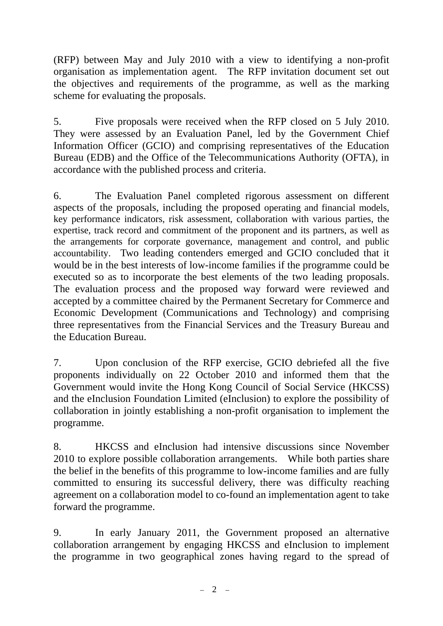(RFP) between May and July 2010 with a view to identifying a non-profit organisation as implementation agent. The RFP invitation document set out the objectives and requirements of the programme, as well as the marking scheme for evaluating the proposals.

5. Five proposals were received when the RFP closed on 5 July 2010. They were assessed by an Evaluation Panel, led by the Government Chief Information Officer (GCIO) and comprising representatives of the Education Bureau (EDB) and the Office of the Telecommunications Authority (OFTA), in accordance with the published process and criteria.

6. The Evaluation Panel completed rigorous assessment on different aspects of the proposals, including the proposed operating and financial models, key performance indicators, risk assessment, collaboration with various parties, the expertise, track record and commitment of the proponent and its partners, as well as the arrangements for corporate governance, management and control, and public accountability. Two leading contenders emerged and GCIO concluded that it would be in the best interests of low-income families if the programme could be executed so as to incorporate the best elements of the two leading proposals. The evaluation process and the proposed way forward were reviewed and accepted by a committee chaired by the Permanent Secretary for Commerce and Economic Development (Communications and Technology) and comprising three representatives from the Financial Services and the Treasury Bureau and the Education Bureau.

7. Upon conclusion of the RFP exercise, GCIO debriefed all the five proponents individually on 22 October 2010 and informed them that the Government would invite the Hong Kong Council of Social Service (HKCSS) and the eInclusion Foundation Limited (eInclusion) to explore the possibility of collaboration in jointly establishing a non-profit organisation to implement the programme.

8. HKCSS and eInclusion had intensive discussions since November 2010 to explore possible collaboration arrangements. While both parties share the belief in the benefits of this programme to low-income families and are fully committed to ensuring its successful delivery, there was difficulty reaching agreement on a collaboration model to co-found an implementation agent to take forward the programme.

9. In early January 2011, the Government proposed an alternative collaboration arrangement by engaging HKCSS and eInclusion to implement the programme in two geographical zones having regard to the spread of